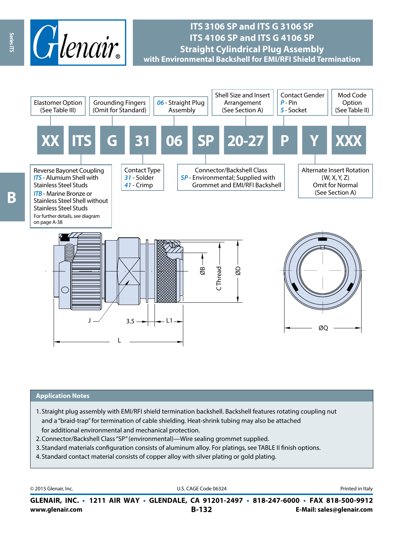

## **ITS 3106 SP and ITS G 3106 SP ITS 4106 SP and ITS G 4106 SP Straight Cylindrical Plug Assembly with Environmental Backshell for EMI/RFI Shield Termination**



#### **Application Notes**

- 1. Straight plug assembly with EMI/RFI shield termination backshell. Backshell features rotating coupling nut and a "braid-trap" for termination of cable shielding. Heat-shrink tubing may also be attached for additional environmental and mechanical protection.
- 2.Connector/Backshell Class "SP" (environmental)—Wire sealing grommet supplied.
- 3. Standard materials configuration consists of aluminum alloy. For platings, see TABLE II finish options.
- 4. Standard contact material consists of copper alloy with silver plating or gold plating.

| © 2015 Glenair, Inc. | U.S. CAGE Code 06324                                                                     | Printed in Italy          |
|----------------------|------------------------------------------------------------------------------------------|---------------------------|
|                      | GLENAIR, INC. • 1211 AIR WAY • GLENDALE, CA 91201-2497 • 818-247-6000 • FAX 818-500-9912 |                           |
| www.glenair.com      | <b>B-132</b>                                                                             | E-Mail: sales@glenair.com |